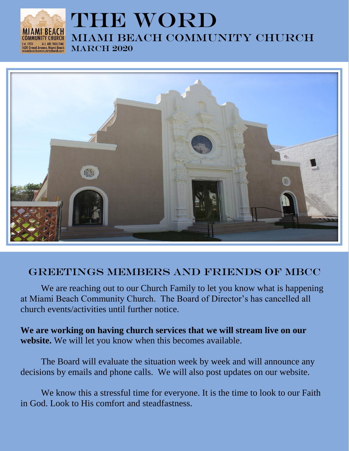

# THE WORD Miami beach Community church **MARCH 2020**



## Greetings members and friends of Mbcc

We are reaching out to our Church Family to let you know what is happening at Miami Beach Community Church. The Board of Director's has cancelled all church events/activities until further notice.

**We are working on having church services that we will stream live on our website.** We will let you know when this becomes available.

The Board will evaluate the situation week by week and will announce any decisions by emails and phone calls. We will also post updates on our website.

We know this a stressful time for everyone. It is the time to look to our Faith in God. Look to His comfort and steadfastness.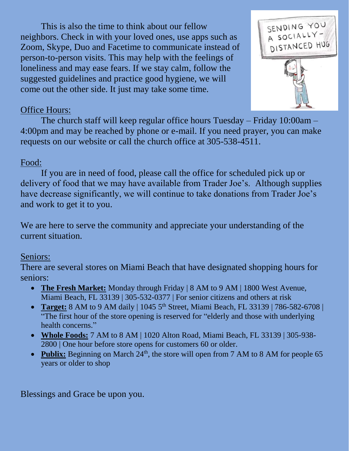This is also the time to think about our fellow neighbors. Check in with your loved ones, use apps such as Zoom, Skype, Duo and Facetime to communicate instead of person-to-person visits. This may help with the feelings of loneliness and may ease fears. If we stay calm, follow the suggested guidelines and practice good hygiene, we will come out the other side. It just may take some time.



### Office Hours:

The church staff will keep regular office hours Tuesday – Friday 10:00am – 4:00pm and may be reached by phone or e-mail. If you need prayer, you can make requests on our website or call the church office at 305-538-4511.

### Food:

If you are in need of food, please call the office for scheduled pick up or delivery of food that we may have available from Trader Joe's. Although supplies have decrease significantly, we will continue to take donations from Trader Joe's and work to get it to you.

We are here to serve the community and appreciate your understanding of the current situation.

### Seniors:

There are several stores on Miami Beach that have designated shopping hours for seniors:

- The Fresh Market: Monday through Friday | 8 AM to 9 AM | 1800 West Avenue, Miami Beach, FL 33139 | 305-532-0377 | For senior citizens and others at risk
- **Target:** 8 AM to 9 AM daily | 1045 5<sup>th</sup> Street, Miami Beach, FL 33139 | 786-582-6708 | "The first hour of the store opening is reserved for "elderly and those with underlying health concerns."
- **Whole Foods:** 7 AM to 8 AM | 1020 Alton Road, Miami Beach, FL 33139 | 305-938- 2800 | One hour before store opens for customers 60 or older.
- **Publix:** Beginning on March 24<sup>th</sup>, the store will open from 7 AM to 8 AM for people 65 years or older to shop

Blessings and Grace be upon you.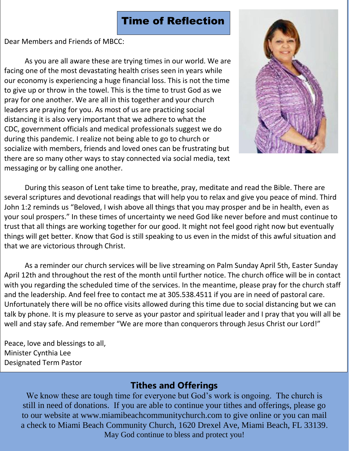# Time of Reflection

Dear Members and Friends of MBCC:

As you are all aware these are trying times in our world. We are facing one of the most devastating health crises seen in years while our economy is experiencing a huge financial loss. This is not the time to give up or throw in the towel. This is the time to trust God as we pray for one another. We are all in this together and your church leaders are praying for you. As most of us are practicing social distancing it is also very important that we adhere to what the CDC, government officials and medical professionals suggest we do during this pandemic. I realize not being able to go to church or socialize with members, friends and loved ones can be frustrating but there are so many other ways to stay connected via social media, text messaging or by calling one another.



During this season of Lent take time to breathe, pray, meditate and read the Bible. There are several scriptures and devotional readings that will help you to relax and give you peace of mind. Third John 1:2 reminds us "Beloved, I wish above all things that you may prosper and be in health, even as your soul prospers." In these times of uncertainty we need God like never before and must continue to trust that all things are working together for our good. It might not feel good right now but eventually things will get better. Know that God is still speaking to us even in the midst of this awful situation and that we are victorious through Christ.

As a reminder our church services will be live streaming on Palm Sunday April 5th, Easter Sunday April 12th and throughout the rest of the month until further notice. The church office will be in contact with you regarding the scheduled time of the services. In the meantime, please pray for the church staff and the leadership. And feel free to contact me at 305.538.4511 if you are in need of pastoral care. Unfortunately there will be no office visits allowed during this time due to social distancing but we can talk by phone. It is my pleasure to serve as your pastor and spiritual leader and I pray that you will all be well and stay safe. And remember "We are more than conquerors through Jesus Christ our Lord!"

Peace, love and blessings to all, Minister Cynthia Lee Designated Term Pastor

## **Tithes and Offerings**

We know these are tough time for everyone but God's work is ongoing. The church is still in need of donations. If you are able to continue your tithes and offerings, please go to our website at www[.miamibeachcommunitychurch.com](https://miamibeachcommunitychurch.com/) to give online or you can mail a check to Miami Beach Community Church, 1620 Drexel Ave, Miami Beach, FL 33139. May God continue to bless and protect you!